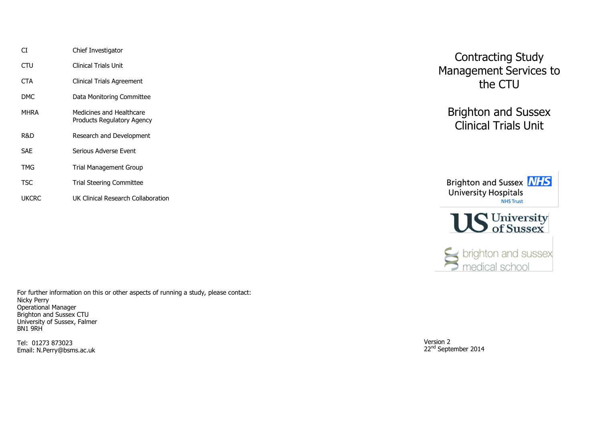| СT         | Chief Investigator                                     |
|------------|--------------------------------------------------------|
| CTU        | Clinical Trials Unit                                   |
| <b>CTA</b> | Clinical Trials Agreement                              |
| DMC.       | Data Monitoring Committee                              |
| MHRA       | Medicines and Healthcare<br>Products Regulatory Agency |
| R&D        | Research and Development                               |
| <b>SAF</b> | Serious Adverse Event                                  |
| TMG        | <b>Trial Management Group</b>                          |
| TSC        | Trial Steering Committee                               |
| UKCRC      | UK Clinical Research Collaboration                     |

For further information on this or other aspects of running a study, please contact: Nicky Perry Operational Manager Brighton and Sussex CTU University of Sussex, Falmer BN1 9RH

Tel: 01273 873023 Email: N.Perry@bsms.ac.uk

Contracting Study Management Services to the CTU

Brighton and Sussex Clinical Trials Unit





Sports brighton and sussex

Version 2 22<sup>nd</sup> September 2014